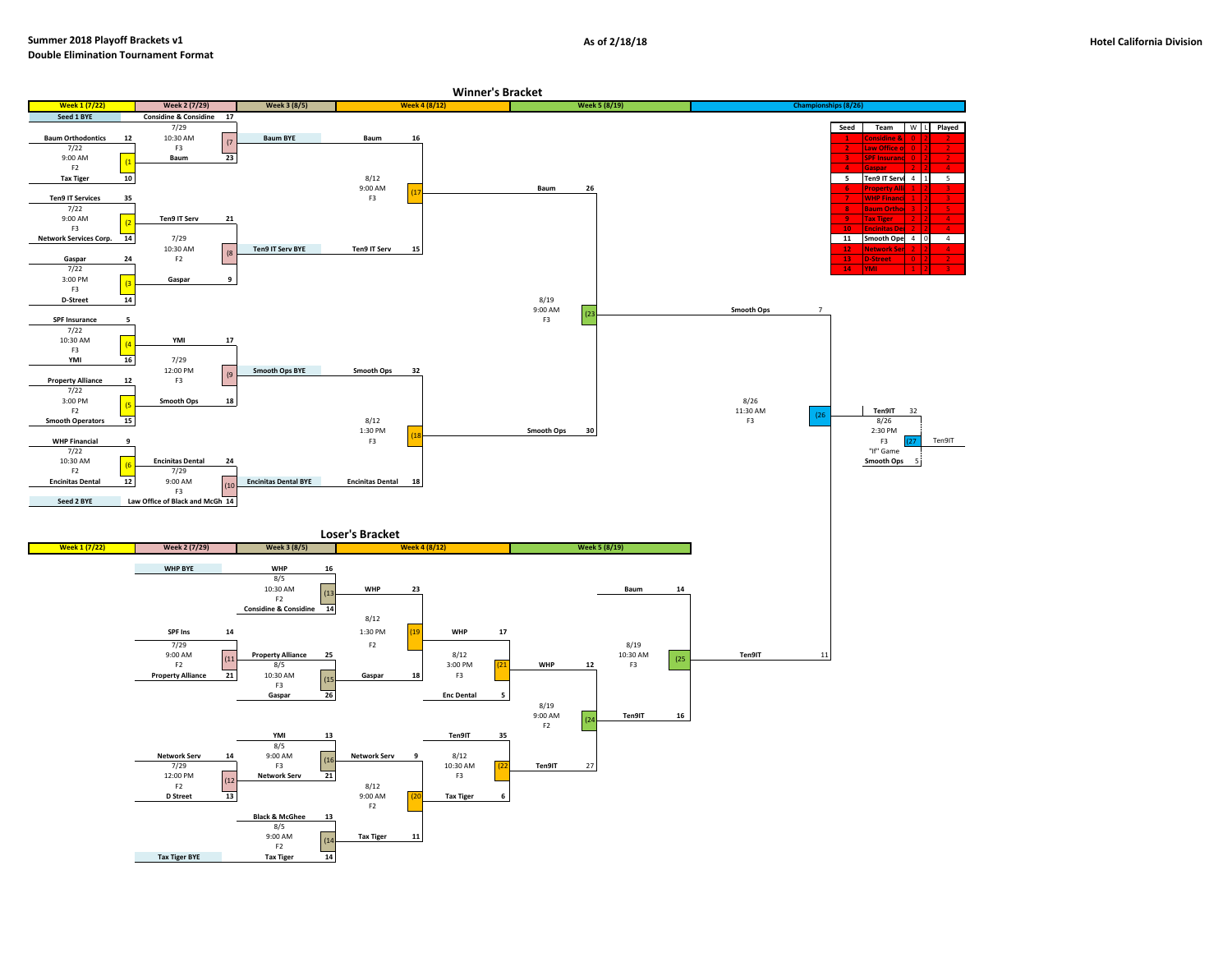